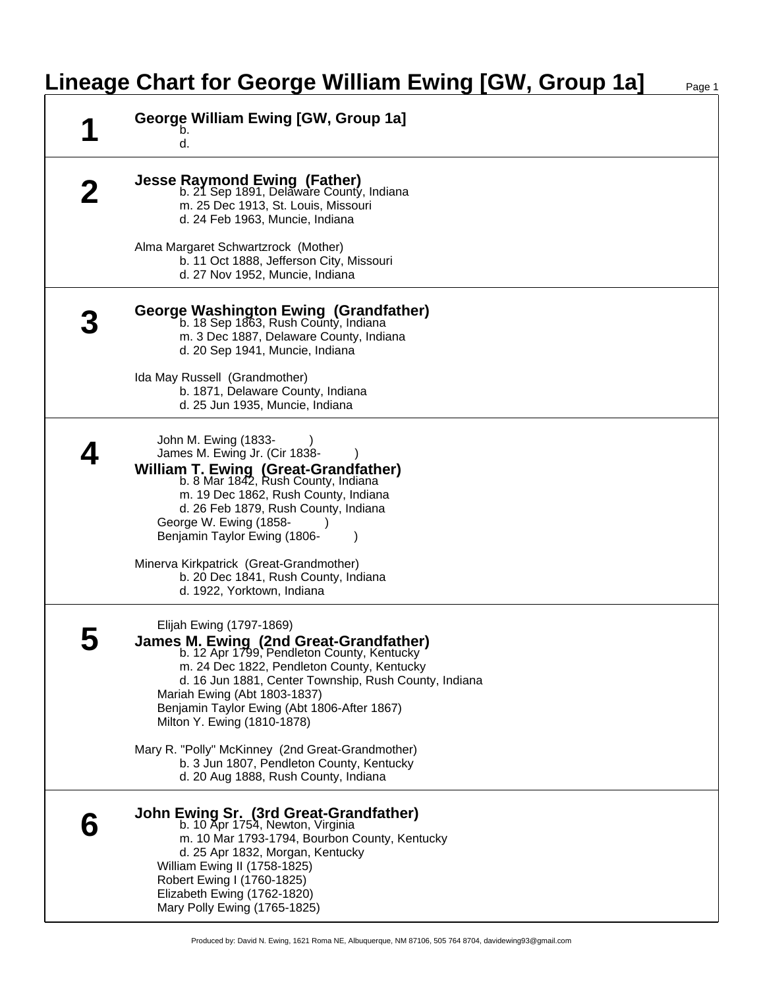## **Lineage Chart for George William Ewing [GW, Group 1a]**

| George William Ewing [GW, Group 1a]<br>b.<br>d.                                                                                                                                                                                                                                                                                       |
|---------------------------------------------------------------------------------------------------------------------------------------------------------------------------------------------------------------------------------------------------------------------------------------------------------------------------------------|
| <b>Jesse Raymond Ewing (Father)</b><br>b. 21 Sep 1891, Delaware County, Indiana<br>m. 25 Dec 1913, St. Louis, Missouri<br>d. 24 Feb 1963, Muncie, Indiana                                                                                                                                                                             |
| Alma Margaret Schwartzrock (Mother)<br>b. 11 Oct 1888, Jefferson City, Missouri<br>d. 27 Nov 1952, Muncie, Indiana                                                                                                                                                                                                                    |
| George Washington Ewing (Grandfather)<br>b. 18 Sep 1863, Rush County, Indiana<br>m. 3 Dec 1887, Delaware County, Indiana<br>d. 20 Sep 1941, Muncie, Indiana                                                                                                                                                                           |
| Ida May Russell (Grandmother)<br>b. 1871, Delaware County, Indiana<br>d. 25 Jun 1935, Muncie, Indiana                                                                                                                                                                                                                                 |
| John M. Ewing (1833-<br>James M. Ewing Jr. (Cir 1838-<br><b>William T. Ewing (Great-Grandfather)</b><br>b. 8 Mar 1842, Rush County, Indiana<br>m. 19 Dec 1862, Rush County, Indiana<br>d. 26 Feb 1879, Rush County, Indiana<br>George W. Ewing (1858-<br>Benjamin Taylor Ewing (1806-<br>Minerva Kirkpatrick (Great-Grandmother)      |
| b. 20 Dec 1841, Rush County, Indiana<br>d. 1922, Yorktown, Indiana                                                                                                                                                                                                                                                                    |
| Elijah Ewing (1797-1869)<br>James M. Ewing (2nd Great-Grandfather)<br>b. 12 Apr 1799, Pendleton County, Kentucky<br>m. 24 Dec 1822, Pendleton County, Kentucky<br>d. 16 Jun 1881, Center Township, Rush County, Indiana<br>Mariah Ewing (Abt 1803-1837)<br>Benjamin Taylor Ewing (Abt 1806-After 1867)<br>Milton Y. Ewing (1810-1878) |
| Mary R. "Polly" McKinney (2nd Great-Grandmother)<br>b. 3 Jun 1807, Pendleton County, Kentucky<br>d. 20 Aug 1888, Rush County, Indiana                                                                                                                                                                                                 |
| John Ewing Sr. (3rd Great-Grandfather)<br>b. 10 Apr 1754, Newton, Virginia<br>m. 10 Mar 1793-1794, Bourbon County, Kentucky<br>d. 25 Apr 1832, Morgan, Kentucky<br>William Ewing II (1758-1825)<br>Robert Ewing I (1760-1825)<br>Elizabeth Ewing (1762-1820)<br>Mary Polly Ewing (1765-1825)                                          |

Produced by: David N. Ewing, 1621 Roma NE, Albuquerque, NM 87106, 505 764 8704, davidewing93@gmail.com